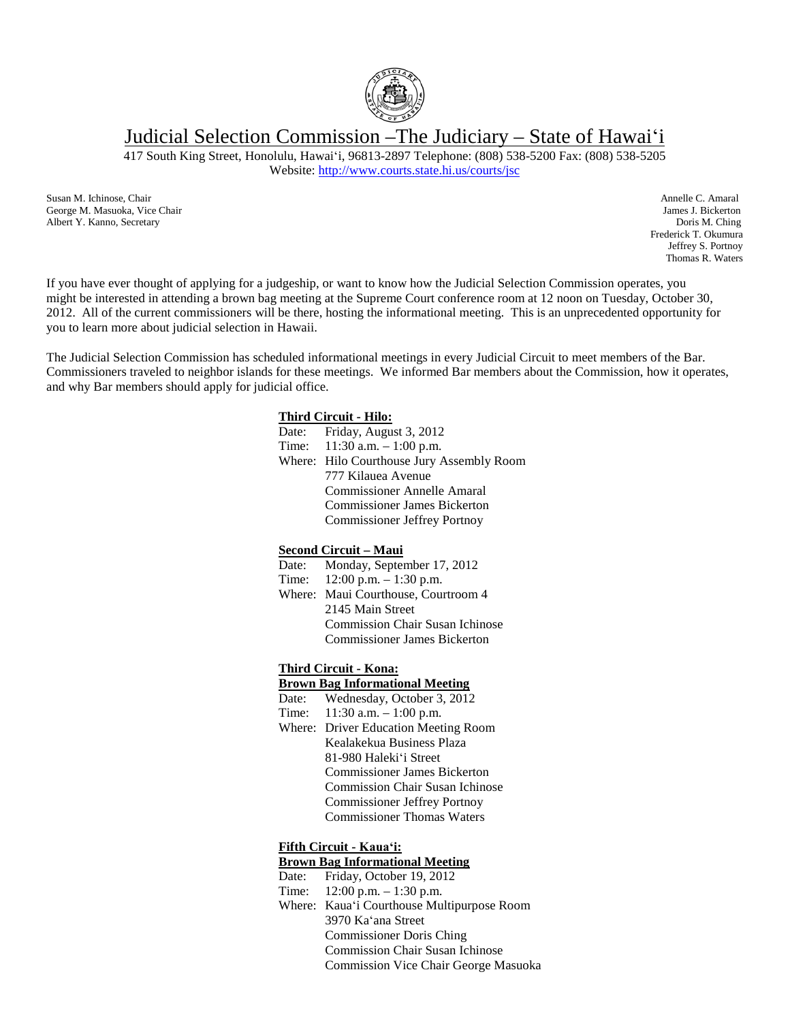

Judicial Selection Commission –The Judiciary – State of Hawaiʻi

417 South King Street, Honolulu, Hawaiʻi, 96813-2897 Telephone: (808) 538-5200 Fax: (808) 538-5205

Website: [http://www.courts.state.hi.us/courts/jsc](http://www.courts.state.hi.us/courts/judicial_selection_commission.html)

Susan M. Ichinose, Chair **Annelle C. Amaral** George M. Masuoka, Vice Chair **Annelle C. Amaral** George M. Masuoka, Vice Chair **Annelle C. Amaral** George M. Masuoka, Vice Chair George M. Masuoka, Vice Chair Albert Y. Kanno, Secretary Doris M. Ching

Frederick T. Okumura Jeffrey S. Portnoy Thomas R. Waters

If you have ever thought of applying for a judgeship, or want to know how the Judicial Selection Commission operates, you might be interested in attending a brown bag meeting at the Supreme Court conference room at 12 noon on Tuesday, October 30, 2012. All of the current commissioners will be there, hosting the informational meeting. This is an unprecedented opportunity for you to learn more about judicial selection in Hawaii.

The Judicial Selection Commission has scheduled informational meetings in every Judicial Circuit to meet members of the Bar. Commissioners traveled to neighbor islands for these meetings. We informed Bar members about the Commission, how it operates, and why Bar members should apply for judicial office.

### **Third Circuit - Hilo:**

| Date: Friday, August 3, 2012              |
|-------------------------------------------|
| Time: $11:30$ a.m. $-1:00$ p.m.           |
| Where: Hilo Courthouse Jury Assembly Room |
| 777 Kilauea Avenue                        |
| <b>Commissioner Annelle Amaral</b>        |
| <b>Commissioner James Bickerton</b>       |
| <b>Commissioner Jeffrey Portnoy</b>       |

### **Second Circuit – Maui**

- Date: Monday, September 17, 2012
- Time: 12:00 p.m. 1:30 p.m. Where: Maui Courthouse, Courtroom 4 2145 Main Street Commission Chair Susan Ichinose Commissioner James Bickerton

# **Third Circuit - Kona:**

# **Brown Bag Informational Meeting**

- Date: Wednesday, October 3, 2012
- Time: 11:30 a.m. 1:00 p.m. Where: Driver Education Meeting Room Kealakekua Business Plaza 81-980 Halekiʻi Street Commissioner James Bickerton Commission Chair Susan Ichinose Commissioner Jeffrey Portnoy Commissioner Thomas Waters

## **Fifth Circuit - Kauaʻi:**

# **Brown Bag Informational Meeting**

- Date: Friday, October 19, 2012
- Time: 12:00 p.m. 1:30 p.m.
- Where: Kauaʻi Courthouse Multipurpose Room 3970 Kaʻana Street Commissioner Doris Ching Commission Chair Susan Ichinose Commission Vice Chair George Masuoka